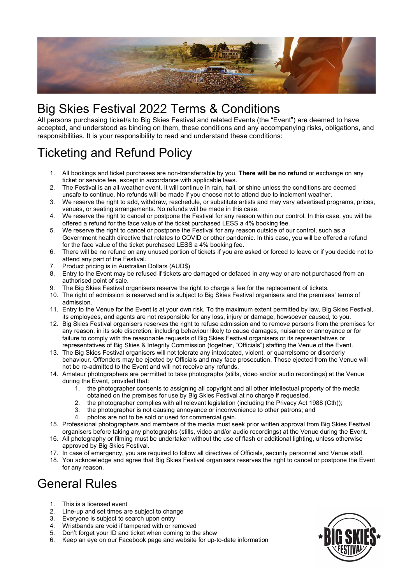

# Big Skies Festival 2022 Terms & Conditions

All persons purchasing ticket/s to Big Skies Festival and related Events (the "Event") are deemed to have accepted, and understood as binding on them, these conditions and any accompanying risks, obligations, and responsibilities. It is your responsibility to read and understand these conditions:

# Ticketing and Refund Policy

- 1. All bookings and ticket purchases are non-transferrable by you. There will be no refund or exchange on any ticket or service fee, except in accordance with applicable laws.
- 2. The Festival is an all-weather event. It will continue in rain, hail, or shine unless the conditions are deemed unsafe to continue. No refunds will be made if you choose not to attend due to inclement weather.
- 3. We reserve the right to add, withdraw, reschedule, or substitute artists and may vary advertised programs, prices, venues, or seating arrangements. No refunds will be made in this case.
- 4. We reserve the right to cancel or postpone the Festival for any reason within our control. In this case, you will be offered a refund for the face value of the ticket purchased LESS a 4% booking fee.
- 5. We reserve the right to cancel or postpone the Festival for any reason outside of our control, such as a Government health directive that relates to COVID or other pandemic. In this case, you will be offered a refund for the face value of the ticket purchased LESS a 4% booking fee.
- 6. There will be no refund on any unused portion of tickets if you are asked or forced to leave or if you decide not to attend any part of the Festival.
- 7. Product pricing is in Australian Dollars (AUD\$)
- 8. Entry to the Event may be refused if tickets are damaged or defaced in any way or are not purchased from an authorised point of sale.
- 9. The Big Skies Festival organisers reserve the right to charge a fee for the replacement of tickets.
- 10. The right of admission is reserved and is subject to Big Skies Festival organisers and the premises' terms of admission.
- 11. Entry to the Venue for the Event is at your own risk. To the maximum extent permitted by law, Big Skies Festival, its employees, and agents are not responsible for any loss, injury or damage, howsoever caused, to you.
- 12. Big Skies Festival organisers reserves the right to refuse admission and to remove persons from the premises for any reason, in its sole discretion, including behaviour likely to cause damages, nuisance or annoyance or for failure to comply with the reasonable requests of Big Skies Festival organisers or its representatives or representatives of Big Skies & Integrity Commission (together, "Officials") staffing the Venue of the Event.
- 13. The Big Skies Festival organisers will not tolerate any intoxicated, violent, or quarrelsome or disorderly behaviour. Offenders may be ejected by Officials and may face prosecution. Those ejected from the Venue will not be re-admitted to the Event and will not receive any refunds.
- 14. Amateur photographers are permitted to take photographs (stills, video and/or audio recordings) at the Venue during the Event, provided that:
	- 1. the photographer consents to assigning all copyright and all other intellectual property of the media obtained on the premises for use by Big Skies Festival at no charge if requested.
	- 2. the photographer complies with all relevant legislation (including the Privacy Act 1988 (Cth));
	- 3. the photographer is not causing annoyance or inconvenience to other patrons; and
	- 4. photos are not to be sold or used for commercial gain.
- 15. Professional photographers and members of the media must seek prior written approval from Big Skies Festival organisers before taking any photographs (stills, video and/or audio recordings) at the Venue during the Event.
- 16. All photography or filming must be undertaken without the use of flash or additional lighting, unless otherwise approved by Big Skies Festival.
- 17. In case of emergency, you are required to follow all directives of Officials, security personnel and Venue staff.
- 18. You acknowledge and agree that Big Skies Festival organisers reserves the right to cancel or postpone the Event for any reason.

## General Rules

- 1. This is a licensed event
- 2. Line-up and set times are subject to change
- 3. Everyone is subject to search upon entry
- 4. Wristbands are void if tampered with or removed
- 5. Don't forget your ID and ticket when coming to the show
- 6. Keep an eye on our Facebook page and website for up-to-date information